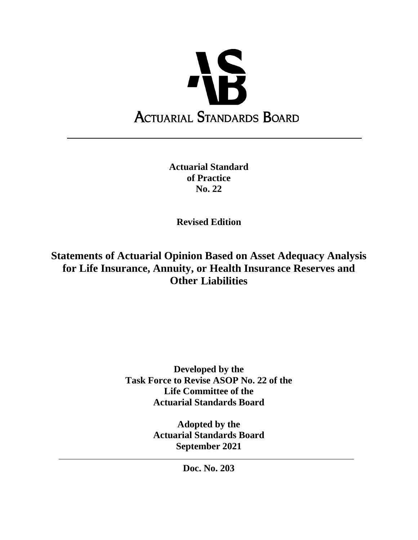

**Actuarial Standard of Practice No. 22**

**Revised Edition**

**Statements of Actuarial Opinion Based on Asset Adequacy Analysis for Life Insurance, Annuity, or Health Insurance Reserves and Other Liabilities**

> **Developed by the Task Force to Revise ASOP No. 22 of the Life Committee of the Actuarial Standards Board**

> > **Adopted by the Actuarial Standards Board September 2021**

> > > **Doc. No. 203**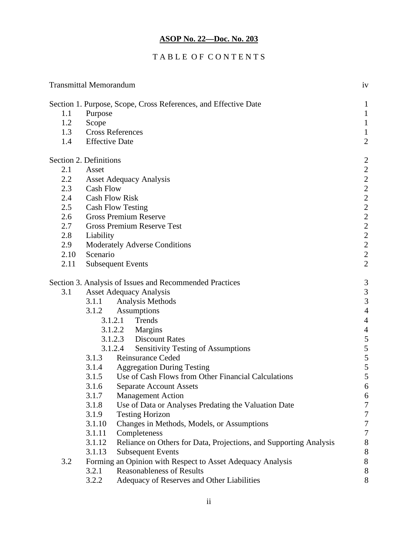# TABLE OF CONTENTS

|      | <b>Transmittal Memorandum</b>                                               | iv                                         |
|------|-----------------------------------------------------------------------------|--------------------------------------------|
|      | Section 1. Purpose, Scope, Cross References, and Effective Date             | $\mathbf{1}$                               |
| 1.1  | Purpose                                                                     | $\mathbf{1}$                               |
| 1.2  | Scope                                                                       | $\mathbf{1}$                               |
| 1.3  | <b>Cross References</b>                                                     | $\mathbf{1}$                               |
| 1.4  | <b>Effective Date</b>                                                       | $\overline{c}$                             |
|      | Section 2. Definitions                                                      |                                            |
| 2.1  | Asset                                                                       | 22222222222                                |
| 2.2  | <b>Asset Adequacy Analysis</b>                                              |                                            |
| 2.3  | <b>Cash Flow</b>                                                            |                                            |
| 2.4  | <b>Cash Flow Risk</b>                                                       |                                            |
| 2.5  | <b>Cash Flow Testing</b>                                                    |                                            |
| 2.6  | <b>Gross Premium Reserve</b>                                                |                                            |
| 2.7  | <b>Gross Premium Reserve Test</b>                                           |                                            |
| 2.8  | Liability                                                                   |                                            |
| 2.9  | Moderately Adverse Conditions                                               |                                            |
| 2.10 | Scenario                                                                    |                                            |
| 2.11 | <b>Subsequent Events</b>                                                    |                                            |
|      | Section 3. Analysis of Issues and Recommended Practices                     |                                            |
| 3.1  | <b>Asset Adequacy Analysis</b>                                              | $\begin{array}{c} 3 \\ 3 \\ 3 \end{array}$ |
|      | Analysis Methods<br>3.1.1                                                   |                                            |
|      | 3.1.2<br>Assumptions                                                        | $\overline{4}$                             |
|      | Trends<br>3.1.2.1                                                           | $\overline{4}$                             |
|      | 3.1.2.2<br>Margins                                                          | $\overline{\mathcal{A}}$                   |
|      | 3.1.2.3 Discount Rates                                                      | 5                                          |
|      | Sensitivity Testing of Assumptions<br>3.1.2.4                               | $\frac{5}{5}$                              |
|      | <b>Reinsurance Ceded</b><br>3.1.3                                           |                                            |
|      | <b>Aggregation During Testing</b><br>3.1.4                                  | 5                                          |
|      | Use of Cash Flows from Other Financial Calculations<br>3.1.5                | 5                                          |
|      | 3.1.6<br><b>Separate Account Assets</b>                                     | 6                                          |
|      | 3.1.7<br><b>Management Action</b>                                           | 6                                          |
|      | 3.1.8<br>Use of Data or Analyses Predating the Valuation Date               | 7                                          |
|      | 3.1.9<br><b>Testing Horizon</b>                                             | 7                                          |
|      | 3.1.10<br>Changes in Methods, Models, or Assumptions                        | 7                                          |
|      | 3.1.11<br>Completeness                                                      | 7                                          |
|      | 3.1.12<br>Reliance on Others for Data, Projections, and Supporting Analysis | 8                                          |
|      | 3.1.13<br><b>Subsequent Events</b>                                          | 8                                          |
| 3.2  | Forming an Opinion with Respect to Asset Adequacy Analysis                  | 8                                          |
|      | 3.2.1<br><b>Reasonableness of Results</b>                                   | 8                                          |
|      | 3.2.2<br>Adequacy of Reserves and Other Liabilities                         | 8                                          |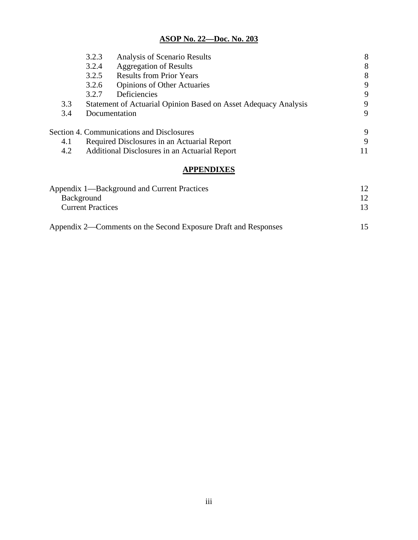|     | 3.2.3 | Analysis of Scenario Results                                    | 8 |
|-----|-------|-----------------------------------------------------------------|---|
|     | 3.2.4 | <b>Aggregation of Results</b>                                   | 8 |
|     | 3.2.5 | <b>Results from Prior Years</b>                                 | 8 |
|     | 3.2.6 | <b>Opinions of Other Actuaries</b>                              | 9 |
|     | 3.2.7 | Deficiencies                                                    | 9 |
| 3.3 |       | Statement of Actuarial Opinion Based on Asset Adequacy Analysis | 9 |
| 3.4 |       | Documentation                                                   | 9 |
|     |       | <b>Section 4. Communications and Disclosures</b>                | 9 |
| 4.1 |       | Required Disclosures in an Actuarial Report                     | 9 |
| 4.2 |       | Additional Disclosures in an Actuarial Report                   |   |
|     |       |                                                                 |   |

# **APPENDIXES**

| Appendix 1—Background and Current Practices                    |     |
|----------------------------------------------------------------|-----|
| Background                                                     | 12. |
| <b>Current Practices</b>                                       | 13. |
| Appendix 2—Comments on the Second Exposure Draft and Responses | 15  |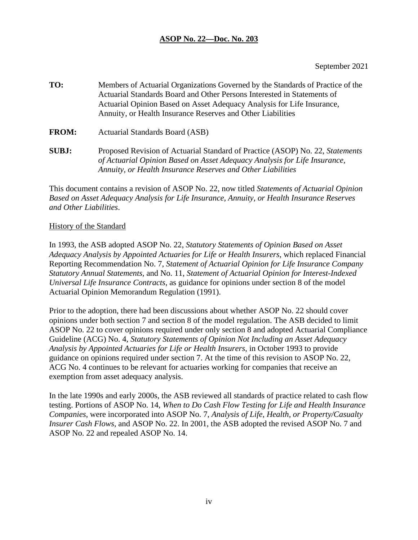September 2021

**TO:** Members of Actuarial Organizations Governed by the Standards of Practice of the Actuarial Standards Board and Other Persons Interested in Statements of Actuarial Opinion Based on Asset Adequacy Analysis for Life Insurance, Annuity, or Health Insurance Reserves and Other Liabilities

**FROM:** Actuarial Standards Board (ASB)

**SUBJ:** Proposed Revision of Actuarial Standard of Practice (ASOP) No. 22, *Statements of Actuarial Opinion Based on Asset Adequacy Analysis for Life Insurance, Annuity, or Health Insurance Reserves and Other Liabilities*

This document contains a revision of ASOP No. 22, now titled *Statements of Actuarial Opinion Based on Asset Adequacy Analysis for Life Insurance, Annuity, or Health Insurance Reserves and Other Liabilities*.

#### History of the Standard

In 1993, the ASB adopted ASOP No. 22, *Statutory Statements of Opinion Based on Asset Adequacy Analysis by Appointed Actuaries for Life or Health Insurers*, which replaced Financial Reporting Recommendation No. 7, *Statement of Actuarial Opinion for Life Insurance Company Statutory Annual Statements,* and No. 11, *Statement of Actuarial Opinion for Interest-Indexed Universal Life Insurance Contracts*, as guidance for opinions under section 8 of the model Actuarial Opinion Memorandum Regulation (1991).

Prior to the adoption, there had been discussions about whether ASOP No. 22 should cover opinions under both section 7 and section 8 of the model regulation. The ASB decided to limit ASOP No. 22 to cover opinions required under only section 8 and adopted Actuarial Compliance Guideline (ACG) No. 4, *Statutory Statements of Opinion Not Including an Asset Adequacy Analysis by Appointed Actuaries for Life or Health Insurers*, in October 1993 to provide guidance on opinions required under section 7. At the time of this revision to ASOP No. 22, ACG No. 4 continues to be relevant for actuaries working for companies that receive an exemption from asset adequacy analysis.

In the late 1990s and early 2000s, the ASB reviewed all standards of practice related to cash flow testing. Portions of ASOP No. 14, *When to Do Cash Flow Testing for Life and Health Insurance Companies*, were incorporated into ASOP No. 7, *Analysis of Life, Health, or Property/Casualty Insurer Cash Flows*, and ASOP No. 22. In 2001, the ASB adopted the revised ASOP No. 7 and ASOP No. 22 and repealed ASOP No. 14.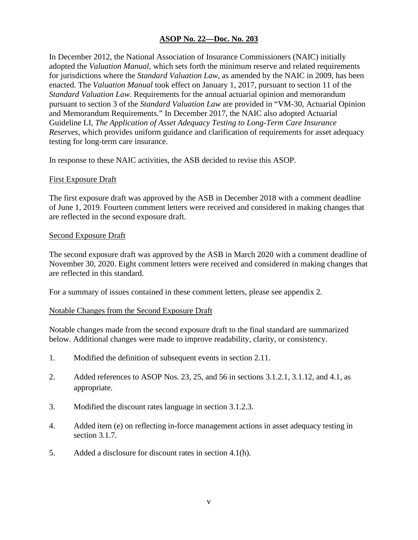In December 2012, the National Association of Insurance Commissioners (NAIC) initially adopted the *Valuation Manual*, which sets forth the minimum reserve and related requirements for jurisdictions where the *Standard Valuation Law*, as amended by the NAIC in 2009, has been enacted. The *Valuation Manual* took effect on January 1, 2017, pursuant to section 11 of the *Standard Valuation Law*. Requirements for the annual actuarial opinion and memorandum pursuant to section 3 of the *Standard Valuation Law* are provided in "VM-30, Actuarial Opinion and Memorandum Requirements." In December 2017, the NAIC also adopted Actuarial Guideline LI, *The Application of Asset Adequacy Testing to Long-Term Care Insurance Reserves*, which provides uniform guidance and clarification of requirements for asset adequacy testing for long-term care insurance.

In response to these NAIC activities, the ASB decided to revise this ASOP.

#### First Exposure Draft

The first exposure draft was approved by the ASB in December 2018 with a comment deadline of June 1, 2019. Fourteen comment letters were received and considered in making changes that are reflected in the second exposure draft.

#### Second Exposure Draft

The second exposure draft was approved by the ASB in March 2020 with a comment deadline of November 30, 2020. Eight comment letters were received and considered in making changes that are reflected in this standard.

For a summary of issues contained in these comment letters, please see appendix 2*.*

#### Notable Changes from the Second Exposure Draft

Notable changes made from the second exposure draft to the final standard are summarized below. Additional changes were made to improve readability, clarity, or consistency.

- 1. Modified the definition of subsequent events in section 2.11.
- 2. Added references to ASOP Nos. 23, 25, and 56 in sections 3.1.2.1, 3.1.12, and 4.1, as appropriate.
- 3. Modified the discount rates language in section 3.1.2.3.
- 4. Added item (e) on reflecting in-force management actions in asset adequacy testing in section 3.1.7.
- 5. Added a disclosure for discount rates in section 4.1(h).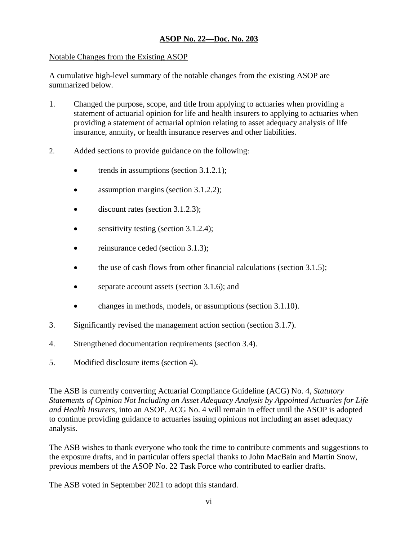#### Notable Changes from the Existing ASOP

A cumulative high-level summary of the notable changes from the existing ASOP are summarized below.

- 1. Changed the purpose, scope, and title from applying to actuaries when providing a statement of actuarial opinion for life and health insurers to applying to actuaries when providing a statement of actuarial opinion relating to asset adequacy analysis of life insurance, annuity, or health insurance reserves and other liabilities.
- 2. Added sections to provide guidance on the following:
	- trends in assumptions (section 3.1.2.1);
	- assumption margins (section  $3.1.2.2$ );
	- discount rates (section 3.1.2.3);
	- sensitivity testing (section 3.1.2.4);
	- reinsurance ceded (section 3.1.3);
	- the use of cash flows from other financial calculations (section 3.1.5);
	- separate account assets (section 3.1.6); and
	- changes in methods, models, or assumptions (section 3.1.10).
- 3. Significantly revised the management action section (section 3.1.7).
- 4. Strengthened documentation requirements (section 3.4).
- 5. Modified disclosure items (section 4).

The ASB is currently converting Actuarial Compliance Guideline (ACG) No. 4, *Statutory Statements of Opinion Not Including an Asset Adequacy Analysis by Appointed Actuaries for Life and Health Insurers,* into an ASOP. ACG No. 4 will remain in effect until the ASOP is adopted to continue providing guidance to actuaries issuing opinions not including an asset adequacy analysis.

The ASB wishes to thank everyone who took the time to contribute comments and suggestions to the exposure drafts, and in particular offers special thanks to John MacBain and Martin Snow, previous members of the ASOP No. 22 Task Force who contributed to earlier drafts.

The ASB voted in September 2021 to adopt this standard.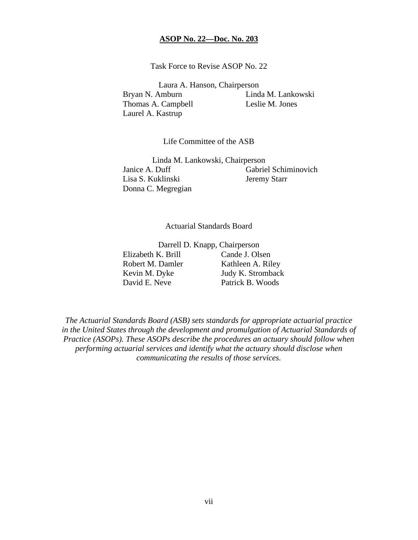Task Force to Revise ASOP No. 22

Laura A. Hanson, Chairperson Bryan N. Amburn Linda M. Lankowski<br>Thomas A. Campbell Leslie M. Jones Thomas A. Campbell Laurel A. Kastrup

Life Committee of the ASB

Linda M. Lankowski, Chairperson Janice A. Duff Gabriel Schiminovich Lisa S. Kuklinski Jeremy Starr Donna C. Megregian

#### Actuarial Standards Board

Darrell D. Knapp, Chairperson

Elizabeth K. Brill Cande J. Olsen Robert M. Damler Kathleen A. Riley David E. Neve Patrick B. Woods

Kevin M. Dyke Judy K. Stromback

*The Actuarial Standards Board (ASB) sets standards for appropriate actuarial practice in the United States through the development and promulgation of Actuarial Standards of Practice (ASOPs). These ASOPs describe the procedures an actuary should follow when performing actuarial services and identify what the actuary should disclose when communicating the results of those services.*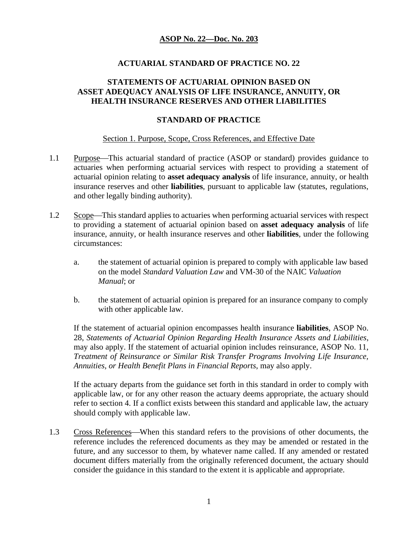# **ACTUARIAL STANDARD OF PRACTICE NO. 22**

# **STATEMENTS OF ACTUARIAL OPINION BASED ON ASSET ADEQUACY ANALYSIS OF LIFE INSURANCE, ANNUITY, OR HEALTH INSURANCE RESERVES AND OTHER LIABILITIES**

#### <span id="page-7-0"></span>**STANDARD OF PRACTICE**

#### <span id="page-7-1"></span>Section 1. Purpose, Scope, Cross References, and Effective Date

- 1.1 Purpose—This actuarial standard of practice (ASOP or standard) provides guidance to actuaries when performing actuarial services with respect to providing a statement of actuarial opinion relating to **asset adequacy analysis** of life insurance, annuity, or health insurance reserves and other **liabilities**, pursuant to applicable law (statutes, regulations, and other legally binding authority).
- <span id="page-7-2"></span>1.2 ScopeThis standard applies to actuaries when performing actuarial services with respect to providing a statement of actuarial opinion based on **asset adequacy analysis** of life insurance, annuity, or health insurance reserves and other **liabilities**, under the following circumstances:
	- a. the statement of actuarial opinion is prepared to comply with applicable law based on the model *Standard Valuation Law* and VM-30 of the NAIC *Valuation Manual*; or
	- b. the statement of actuarial opinion is prepared for an insurance company to comply with other applicable law.

If the statement of actuarial opinion encompasses health insurance **liabilities**, ASOP No. 28, *Statements of Actuarial Opinion Regarding Health Insurance Assets and Liabilities*, may also apply. If the statement of actuarial opinion includes reinsurance, ASOP No. 11, *Treatment of Reinsurance or Similar Risk Transfer Programs Involving Life Insurance, Annuities, or Health Benefit Plans in Financial Reports*, may also apply.

<span id="page-7-3"></span>If the actuary departs from the guidance set forth in this standard in order to comply with applicable law, or for any other reason the actuary deems appropriate, the actuary should refer to section 4. If a conflict exists between this standard and applicable law, the actuary should comply with applicable law.

1.3 Cross References—When this standard refers to the provisions of other documents, the reference includes the referenced documents as they may be amended or restated in the future, and any successor to them, by whatever name called. If any amended or restated document differs materially from the originally referenced document, the actuary should consider the guidance in this standard to the extent it is applicable and appropriate.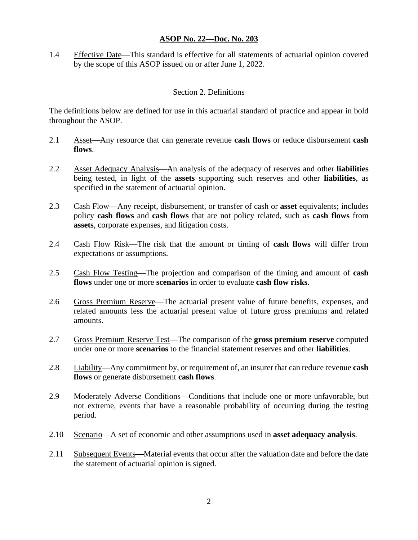1.4 Effective Date—This standard is effective for all statements of actuarial opinion covered by the scope of this ASOP issued on or after June 1, 2022.

#### <span id="page-8-3"></span><span id="page-8-1"></span><span id="page-8-0"></span>Section 2. Definitions

The definitions below are defined for use in this actuarial standard of practice and appear in bold throughout the ASOP.

- <span id="page-8-2"></span>2.1 Asset—Any resource that can generate revenue **cash flows** or reduce disbursement **cash flows**.
- 2.2 Asset Adequacy Analysis—An analysis of the adequacy of reserves and other **liabilities** being tested, in light of the **assets** supporting such reserves and other **liabilities**, as specified in the statement of actuarial opinion.
- <span id="page-8-4"></span>2.3 Cash Flow—Any receipt, disbursement, or transfer of cash or **asset** equivalents; includes policy **cash flows** and **cash flows** that are not policy related, such as **cash flows** from **assets**, corporate expenses, and litigation costs.
- <span id="page-8-5"></span>2.4 Cash Flow Risk—The risk that the amount or timing of **cash flows** will differ from expectations or assumptions.
- <span id="page-8-6"></span>2.5 Cash Flow Testing—The projection and comparison of the timing and amount of **cash flows** under one or more **scenarios** in order to evaluate **cash flow risks**.
- <span id="page-8-7"></span>2.6 Gross Premium Reserve—The actuarial present value of future benefits, expenses, and related amounts less the actuarial present value of future gross premiums and related amounts.
- <span id="page-8-8"></span>2.7 Gross Premium Reserve Test—The comparison of the **gross premium reserve** computed under one or more **scenarios** to the financial statement reserves and other **liabilities**.
- <span id="page-8-9"></span>2.8 Liability—Any commitment by, or requirement of, an insurer that can reduce revenue **cash flows** or generate disbursement **cash flows**.
- <span id="page-8-10"></span>2.9 Moderately Adverse Conditions-Conditions that include one or more unfavorable, but not extreme, events that have a reasonable probability of occurring during the testing period.
- <span id="page-8-11"></span>2.10 Scenario—A set of economic and other assumptions used in **asset adequacy analysis**.
- <span id="page-8-12"></span>2.11 Subsequent Events—Material events that occur after the valuation date and before the date the statement of actuarial opinion is signed.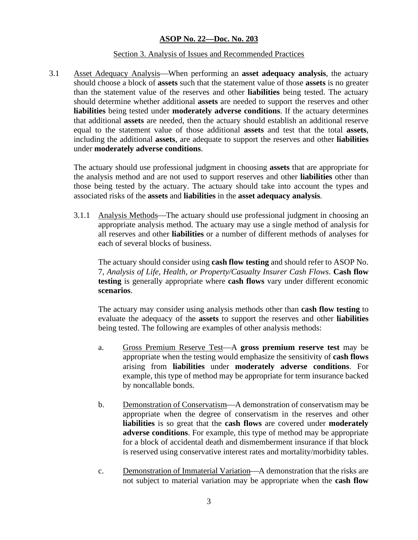#### <span id="page-9-1"></span><span id="page-9-0"></span>Section 3. Analysis of Issues and Recommended Practices

3.1 Asset Adequacy Analysis—When performing an **asset adequacy analysis**, the actuary should choose a block of **assets** such that the statement value of those **assets** is no greater than the statement value of the reserves and other **liabilities** being tested. The actuary should determine whether additional **assets** are needed to support the reserves and other **liabilities** being tested under **moderately adverse conditions**. If the actuary determines that additional **assets** are needed, then the actuary should establish an additional reserve equal to the statement value of those additional **assets** and test that the total **assets**, including the additional **assets**, are adequate to support the reserves and other **liabilities** under **moderately adverse conditions**.

The actuary should use professional judgment in choosing **assets** that are appropriate for the analysis method and are not used to support reserves and other **liabilities** other than those being tested by the actuary. The actuary should take into account the types and associated risks of the **assets** and **liabilities** in the **asset adequacy analysis**.

3.1.1 Analysis Methods—The actuary should use professional judgment in choosing an appropriate analysis method. The actuary may use a single method of analysis for all reserves and other **liabilities** or a number of different methods of analyses for each of several blocks of business.

<span id="page-9-2"></span>The actuary should consider using **cash flow testing** and should refer to ASOP No. 7, *Analysis of Life, Health, or Property/Casualty Insurer Cash Flows*. **Cash flow testing** is generally appropriate where **cash flows** vary under different economic **scenarios**.

The actuary may consider using analysis methods other than **cash flow testing** to evaluate the adequacy of the **assets** to support the reserves and other **liabilities** being tested. The following are examples of other analysis methods:

- a. Gross Premium Reserve Test-A **gross premium reserve test** may be appropriate when the testing would emphasize the sensitivity of **cash flows** arising from **liabilities** under **moderately adverse conditions**. For example, this type of method may be appropriate for term insurance backed by noncallable bonds.
- b. Demonstration of Conservatism—A demonstration of conservatism may be appropriate when the degree of conservatism in the reserves and other **liabilities** is so great that the **cash flows** are covered under **moderately adverse conditions**. For example, this type of method may be appropriate for a block of accidental death and dismemberment insurance if that block is reserved using conservative interest rates and mortality/morbidity tables.
- c. Demonstration of Immaterial Variation-A demonstration that the risks are not subject to material variation may be appropriate when the **cash flow**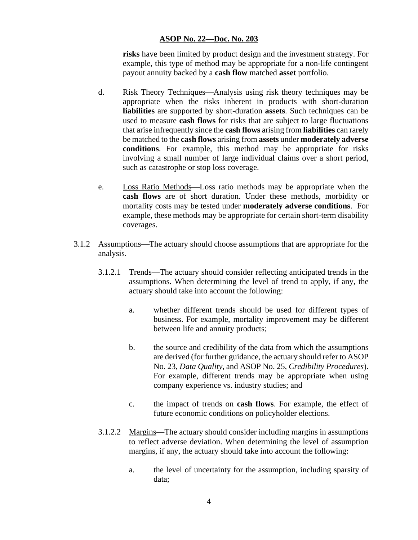**risks** have been limited by product design and the investment strategy. For example, this type of method may be appropriate for a non-life contingent payout annuity backed by a **cash flow** matched **asset** portfolio.

- d. Risk Theory Techniques—Analysis using risk theory techniques may be appropriate when the risks inherent in products with short-duration **liabilities** are supported by short-duration **assets**. Such techniques can be used to measure **cash flows** for risks that are subject to large fluctuations that arise infrequently since the **cash flows** arising from **liabilities** can rarely be matched to the **cash flows** arising from **assets** under **moderately adverse conditions**. For example, this method may be appropriate for risks involving a small number of large individual claims over a short period, such as catastrophe or stop loss coverage.
- e. Loss Ratio Methods—Loss ratio methods may be appropriate when the **cash flows** are of short duration. Under these methods, morbidity or mortality costs may be tested under **moderately adverse conditions**. For example, these methods may be appropriate for certain short-term disability coverages.
- <span id="page-10-2"></span><span id="page-10-1"></span><span id="page-10-0"></span>3.1.2 Assumptions—The actuary should choose assumptions that are appropriate for the analysis.
	- 3.1.2.1 Trends—The actuary should consider reflecting anticipated trends in the assumptions. When determining the level of trend to apply, if any, the actuary should take into account the following:
		- a. whether different trends should be used for different types of business. For example, mortality improvement may be different between life and annuity products;
		- b. the source and credibility of the data from which the assumptions are derived (for further guidance, the actuary should refer to ASOP No. 23, *Data Quality*, and ASOP No. 25, *Credibility Procedures*). For example, different trends may be appropriate when using company experience vs. industry studies; and
		- c. the impact of trends on **cash flows**. For example, the effect of future economic conditions on policyholder elections.
	- 3.1.2.2 Margins—The actuary should consider including margins in assumptions to reflect adverse deviation. When determining the level of assumption margins, if any, the actuary should take into account the following:
		- a. the level of uncertainty for the assumption, including sparsity of data;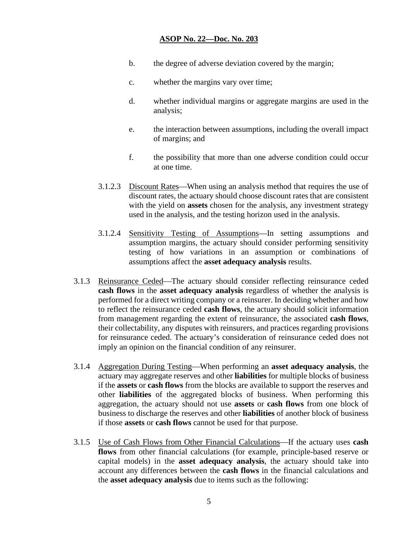- b. the degree of adverse deviation covered by the margin;
- c. whether the margins vary over time;
- d. whether individual margins or aggregate margins are used in the analysis;
- e. the interaction between assumptions, including the overall impact of margins; and
- <span id="page-11-1"></span><span id="page-11-0"></span>f. the possibility that more than one adverse condition could occur at one time.
- 3.1.2.3 Discount Rates—When using an analysis method that requires the use of discount rates, the actuary should choose discount rates that are consistent with the yield on **assets** chosen for the analysis, any investment strategy used in the analysis, and the testing horizon used in the analysis.
- <span id="page-11-2"></span>3.1.2.4 Sensitivity Testing of Assumptions—In setting assumptions and assumption margins, the actuary should consider performing sensitivity testing of how variations in an assumption or combinations of assumptions affect the **asset adequacy analysis** results.
- 3.1.3 Reinsurance Ceded—The actuary should consider reflecting reinsurance ceded **cash flows** in the **asset adequacy analysis** regardless of whether the analysis is performed for a direct writing company or a reinsurer. In deciding whether and how to reflect the reinsurance ceded **cash flows**, the actuary should solicit information from management regarding the extent of reinsurance, the associated **cash flows**, their collectability, any disputes with reinsurers, and practices regarding provisions for reinsurance ceded. The actuary's consideration of reinsurance ceded does not imply an opinion on the financial condition of any reinsurer.
- <span id="page-11-3"></span>3.1.4 Aggregation During TestingWhen performing an **asset adequacy analysis**, the actuary may aggregate reserves and other **liabilities** for multiple blocks of business if the **assets** or **cash flows** from the blocks are available to support the reserves and other **liabilities** of the aggregated blocks of business. When performing this aggregation, the actuary should not use **assets** or **cash flows** from one block of business to discharge the reserves and other **liabilities** of another block of business if those **assets** or **cash flows** cannot be used for that purpose.
- <span id="page-11-4"></span>3.1.5 Use of Cash Flows from Other Financial Calculations—If the actuary uses **cash flows** from other financial calculations (for example, principle-based reserve or capital models) in the **asset adequacy analysis**, the actuary should take into account any differences between the **cash flows** in the financial calculations and the **asset adequacy analysis** due to items such as the following: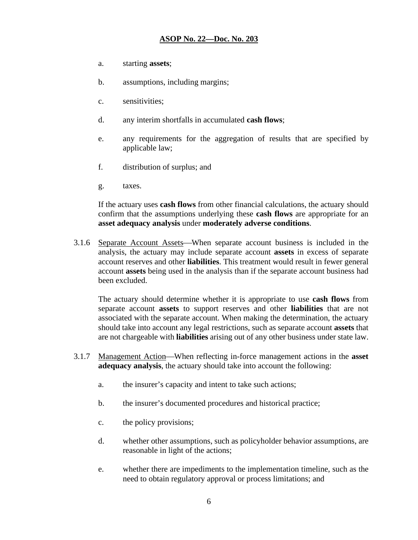- a. starting **assets**;
- b. assumptions, including margins;
- c. sensitivities;
- d. any interim shortfalls in accumulated **cash flows**;
- e. any requirements for the aggregation of results that are specified by applicable law;
- f. distribution of surplus; and
- g. taxes.

<span id="page-12-0"></span>If the actuary uses **cash flows** from other financial calculations, the actuary should confirm that the assumptions underlying these **cash flows** are appropriate for an **asset adequacy analysis** under **moderately adverse conditions**.

3.1.6 Separate Account Assets—When separate account business is included in the analysis, the actuary may include separate account **assets** in excess of separate account reserves and other **liabilities**. This treatment would result in fewer general account **assets** being used in the analysis than if the separate account business had been excluded.

<span id="page-12-1"></span>The actuary should determine whether it is appropriate to use **cash flows** from separate account **assets** to support reserves and other **liabilities** that are not associated with the separate account. When making the determination, the actuary should take into account any legal restrictions, such as separate account **assets** that are not chargeable with **liabilities** arising out of any other business under state law.

- 3.1.7 Management Action—When reflecting in-force management actions in the **asset adequacy analysis**, the actuary should take into account the following:
	- a. the insurer's capacity and intent to take such actions;
	- b. the insurer's documented procedures and historical practice;
	- c. the policy provisions;
	- d. whether other assumptions, such as policyholder behavior assumptions, are reasonable in light of the actions;
	- e. whether there are impediments to the implementation timeline, such as the need to obtain regulatory approval or process limitations; and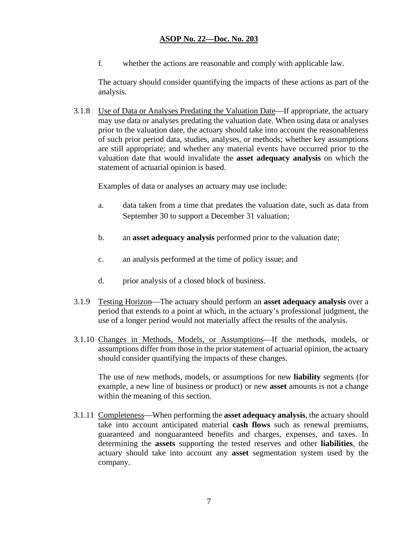f. whether the actions are reasonable and comply with applicable law.

<span id="page-13-0"></span>The actuary should consider quantifying the impacts of these actions as part of the analysis.

3.1.8 Use of Data or Analyses Predating the Valuation Date—If appropriate, the actuary may use data or analyses predating the valuation date. When using data or analyses prior to the valuation date, the actuary should take into account the reasonableness of such prior period data, studies, analyses, or methods; whether key assumptions are still appropriate; and whether any material events have occurred prior to the valuation date that would invalidate the **asset adequacy analysis** on which the statement of actuarial opinion is based.

Examples of data or analyses an actuary may use include:

- a. data taken from a time that predates the valuation date, such as data from September 30 to support a December 31 valuation;
- b. an **asset adequacy analysis** performed prior to the valuation date;
- c. an analysis performed at the time of policy issue; and
- <span id="page-13-1"></span>d. prior analysis of a closed block of business.
- 3.1.9 Testing HorizonThe actuary should perform an **asset adequacy analysis** over a period that extends to a point at which, in the actuary's professional judgment, the use of a longer period would not materially affect the results of the analysis.
- 3.1.10 Changes in Methods, Models, or Assumptions—If the methods, models, or assumptions differ from those in the prior statement of actuarial opinion, the actuary should consider quantifying the impacts of these changes.

<span id="page-13-3"></span><span id="page-13-2"></span>The use of new methods, models, or assumptions for new **liability** segments (for example, a new line of business or product) or new **asset** amounts is not a change within the meaning of this section.

3.1.11 CompletenessWhen performing the **asset adequacy analysis**, the actuary should take into account anticipated material **cash flows** such as renewal premiums, guaranteed and nonguaranteed benefits and charges, expenses, and taxes. In determining the **assets** supporting the tested reserves and other **liabilities**, the actuary should take into account any **asset** segmentation system used by the company.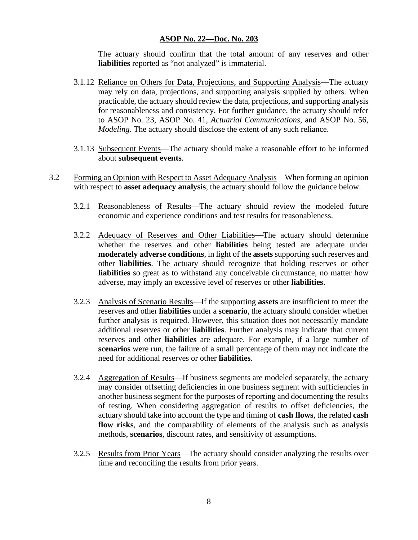<span id="page-14-0"></span>The actuary should confirm that the total amount of any reserves and other **liabilities** reported as "not analyzed" is immaterial.

- 3.1.12 Reliance on Others for Data, Projections, and Supporting Analysis—The actuary may rely on data, projections, and supporting analysis supplied by others. When practicable, the actuary should review the data, projections, and supporting analysis for reasonableness and consistency. For further guidance, the actuary should refer to ASOP No. 23, ASOP No. 41, *Actuarial Communications*, and ASOP No. 56, *Modeling*. The actuary should disclose the extent of any such reliance.
- <span id="page-14-4"></span><span id="page-14-3"></span><span id="page-14-2"></span><span id="page-14-1"></span>3.1.13 Subsequent Events—The actuary should make a reasonable effort to be informed about **subsequent events**.
- <span id="page-14-7"></span><span id="page-14-6"></span><span id="page-14-5"></span>3.2 Forming an Opinion with Respect to Asset Adequacy Analysis—When forming an opinion with respect to **asset adequacy analysis**, the actuary should follow the guidance below.
	- 3.2.1 Reasonableness of Results—The actuary should review the modeled future economic and experience conditions and test results for reasonableness.
	- 3.2.2 Adequacy of Reserves and Other Liabilities—The actuary should determine whether the reserves and other **liabilities** being tested are adequate under **moderately adverse conditions**, in light of the **assets** supporting such reserves and other **liabilities**. The actuary should recognize that holding reserves or other **liabilities** so great as to withstand any conceivable circumstance, no matter how adverse, may imply an excessive level of reserves or other **liabilities**.
	- 3.2.3 Analysis of Scenario Results—If the supporting **assets** are insufficient to meet the reserves and other **liabilities** under a **scenario**, the actuary should consider whether further analysis is required. However, this situation does not necessarily mandate additional reserves or other **liabilities**. Further analysis may indicate that current reserves and other **liabilities** are adequate. For example, if a large number of **scenarios** were run, the failure of a small percentage of them may not indicate the need for additional reserves or other **liabilities**.
	- 3.2.4 Aggregation of Results—If business segments are modeled separately, the actuary may consider offsetting deficiencies in one business segment with sufficiencies in another business segment for the purposes of reporting and documenting the results of testing. When considering aggregation of results to offset deficiencies, the actuary should take into account the type and timing of **cash flows**, the related **cash flow risks**, and the comparability of elements of the analysis such as analysis methods, **scenarios**, discount rates, and sensitivity of assumptions.
	- 3.2.5 Results from Prior Years—The actuary should consider analyzing the results over time and reconciling the results from prior years.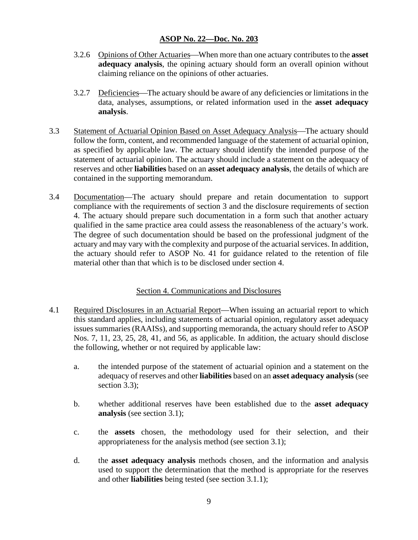- <span id="page-15-0"></span>3.2.6 Opinions of Other Actuaries—When more than one actuary contributes to the **asset adequacy analysis**, the opining actuary should form an overall opinion without claiming reliance on the opinions of other actuaries.
- <span id="page-15-2"></span><span id="page-15-1"></span>3.2.7 Deficiencies—The actuary should be aware of any deficiencies or limitations in the data, analyses, assumptions, or related information used in the **asset adequacy analysis**.
- 3.3 Statement of Actuarial Opinion Based on Asset Adequacy Analysis—The actuary should follow the form, content, and recommended language of the statement of actuarial opinion, as specified by applicable law. The actuary should identify the intended purpose of the statement of actuarial opinion. The actuary should include a statement on the adequacy of reserves and other **liabilities** based on an **asset adequacy analysis**, the details of which are contained in the supporting memorandum.
- <span id="page-15-3"></span>3.4 Documentation—The actuary should prepare and retain documentation to support compliance with the requirements of section 3 and the disclosure requirements of section 4. The actuary should prepare such documentation in a form such that another actuary qualified in the same practice area could assess the reasonableness of the actuary's work. The degree of such documentation should be based on the professional judgment of the actuary and may vary with the complexity and purpose of the actuarial services. In addition, the actuary should refer to ASOP No. 41 for guidance related to the retention of file material other than that which is to be disclosed under section 4.

# <span id="page-15-5"></span><span id="page-15-4"></span>Section 4. Communications and Disclosures

- 4.1 Required Disclosures in an Actuarial Report—When issuing an actuarial report to which this standard applies, including statements of actuarial opinion, regulatory asset adequacy issues summaries (RAAISs), and supporting memoranda, the actuary should refer to ASOP Nos. 7, 11, 23, 25, 28, 41, and 56, as applicable. In addition, the actuary should disclose the following, whether or not required by applicable law:
	- a. the intended purpose of the statement of actuarial opinion and a statement on the adequacy of reserves and other **liabilities** based on an **asset adequacy analysis** (see section 3.3);
	- b. whether additional reserves have been established due to the **asset adequacy analysis** (see section 3.1);
	- c. the **assets** chosen, the methodology used for their selection, and their appropriateness for the analysis method (see section 3.1);
	- d. the **asset adequacy analysis** methods chosen, and the information and analysis used to support the determination that the method is appropriate for the reserves and other **liabilities** being tested (see section 3.1.1);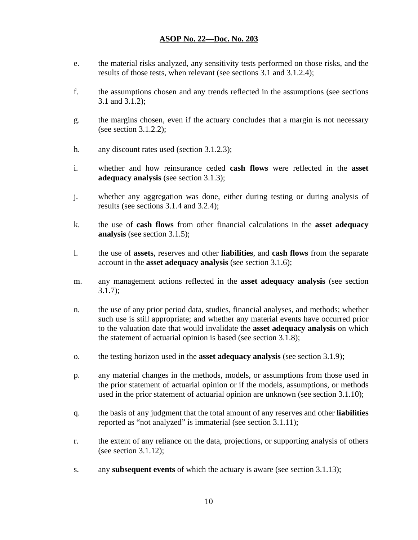- e. the material risks analyzed, any sensitivity tests performed on those risks, and the results of those tests, when relevant (see sections 3.1 and 3.1.2.4);
- f. the assumptions chosen and any trends reflected in the assumptions (see sections 3.1 and 3.1.2);
- g. the margins chosen, even if the actuary concludes that a margin is not necessary (see section 3.1.2.2);
- h. any discount rates used (section 3.1.2.3);
- i. whether and how reinsurance ceded **cash flows** were reflected in the **asset adequacy analysis** (see section 3.1.3);
- j. whether any aggregation was done, either during testing or during analysis of results (see sections 3.1.4 and 3.2.4);
- k. the use of **cash flows** from other financial calculations in the **asset adequacy analysis** (see section 3.1.5);
- l. the use of **assets**, reserves and other **liabilities**, and **cash flows** from the separate account in the **asset adequacy analysis** (see section 3.1.6);
- m. any management actions reflected in the **asset adequacy analysis** (see section 3.1.7);
- n. the use of any prior period data, studies, financial analyses, and methods; whether such use is still appropriate; and whether any material events have occurred prior to the valuation date that would invalidate the **asset adequacy analysis** on which the statement of actuarial opinion is based (see section 3.1.8);
- o. the testing horizon used in the **asset adequacy analysis** (see section 3.1.9);
- p. any material changes in the methods, models, or assumptions from those used in the prior statement of actuarial opinion or if the models, assumptions, or methods used in the prior statement of actuarial opinion are unknown (see section 3.1.10);
- q. the basis of any judgment that the total amount of any reserves and other **liabilities** reported as "not analyzed" is immaterial (see section 3.1.11);
- r. the extent of any reliance on the data, projections, or supporting analysis of others (see section 3.1.12);
- s. any **subsequent events** of which the actuary is aware (see section 3.1.13);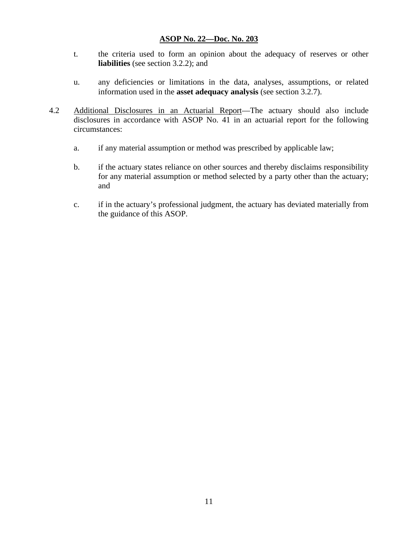- t. the criteria used to form an opinion about the adequacy of reserves or other **liabilities** (see section 3.2.2); and
- <span id="page-17-0"></span>u. any deficiencies or limitations in the data, analyses, assumptions, or related information used in the **asset adequacy analysis** (see section 3.2.7).
- 4.2 Additional Disclosures in an Actuarial Report—The actuary should also include disclosures in accordance with ASOP No. 41 in an actuarial report for the following circumstances:
	- a. if any material assumption or method was prescribed by applicable law;
	- b. if the actuary states reliance on other sources and thereby disclaims responsibility for any material assumption or method selected by a party other than the actuary; and
	- c. if in the actuary's professional judgment, the actuary has deviated materially from the guidance of this ASOP.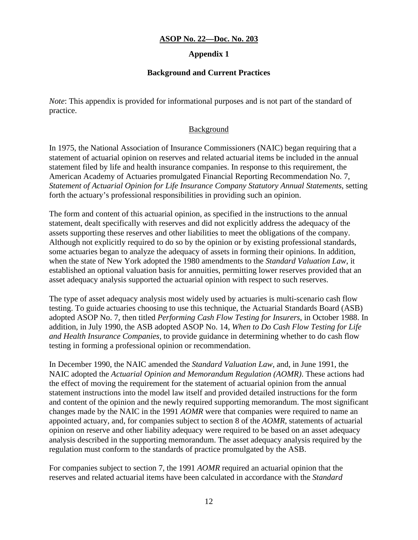#### <span id="page-18-0"></span>**Appendix 1**

### **Background and Current Practices**

*Note*: This appendix is provided for informational purposes and is not part of the standard of practice.

#### <span id="page-18-1"></span>Background

In 1975, the National Association of Insurance Commissioners (NAIC) began requiring that a statement of actuarial opinion on reserves and related actuarial items be included in the annual statement filed by life and health insurance companies. In response to this requirement, the American Academy of Actuaries promulgated Financial Reporting Recommendation No. 7, *Statement of Actuarial Opinion for Life Insurance Company Statutory Annual Statements,* setting forth the actuary's professional responsibilities in providing such an opinion.

The form and content of this actuarial opinion, as specified in the instructions to the annual statement, dealt specifically with reserves and did not explicitly address the adequacy of the assets supporting these reserves and other liabilities to meet the obligations of the company. Although not explicitly required to do so by the opinion or by existing professional standards, some actuaries began to analyze the adequacy of assets in forming their opinions. In addition, when the state of New York adopted the 1980 amendments to the *Standard Valuation Law*, it established an optional valuation basis for annuities, permitting lower reserves provided that an asset adequacy analysis supported the actuarial opinion with respect to such reserves.

The type of asset adequacy analysis most widely used by actuaries is multi-scenario cash flow testing. To guide actuaries choosing to use this technique, the Actuarial Standards Board (ASB) adopted ASOP No. 7, then titled *Performing Cash Flow Testing for Insurers*, in October 1988. In addition, in July 1990, the ASB adopted ASOP No. 14, *When to Do Cash Flow Testing for Life and Health Insurance Companies,* to provide guidance in determining whether to do cash flow testing in forming a professional opinion or recommendation.

In December 1990, the NAIC amended the *Standard Valuation Law*, and, in June 1991, the NAIC adopted the *Actuarial Opinion and Memorandum Regulation (AOMR)*. These actions had the effect of moving the requirement for the statement of actuarial opinion from the annual statement instructions into the model law itself and provided detailed instructions for the form and content of the opinion and the newly required supporting memorandum. The most significant changes made by the NAIC in the 1991 *AOMR* were that companies were required to name an appointed actuary, and, for companies subject to section 8 of the *AOMR*, statements of actuarial opinion on reserve and other liability adequacy were required to be based on an asset adequacy analysis described in the supporting memorandum. The asset adequacy analysis required by the regulation must conform to the standards of practice promulgated by the ASB.

For companies subject to section 7, the 1991 *AOMR* required an actuarial opinion that the reserves and related actuarial items have been calculated in accordance with the *Standard*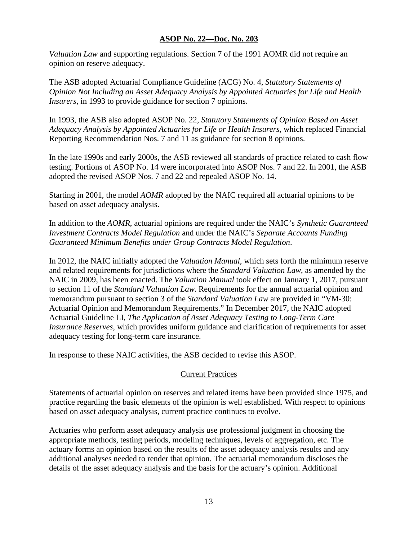*Valuation Law* and supporting regulations. Section 7 of the 1991 AOMR did not require an opinion on reserve adequacy.

The ASB adopted Actuarial Compliance Guideline (ACG) No. 4, *Statutory Statements of Opinion Not Including an Asset Adequacy Analysis by Appointed Actuaries for Life and Health Insurers*, in 1993 to provide guidance for section 7 opinions.

In 1993, the ASB also adopted ASOP No. 22, *Statutory Statements of Opinion Based on Asset Adequacy Analysis by Appointed Actuaries for Life or Health Insurers*, which replaced Financial Reporting Recommendation Nos. 7 and 11 as guidance for section 8 opinions.

In the late 1990s and early 2000s, the ASB reviewed all standards of practice related to cash flow testing. Portions of ASOP No. 14 were incorporated into ASOP Nos. 7 and 22. In 2001, the ASB adopted the revised ASOP Nos. 7 and 22 and repealed ASOP No. 14.

Starting in 2001, the model *AOMR* adopted by the NAIC required all actuarial opinions to be based on asset adequacy analysis.

In addition to the *AOMR*, actuarial opinions are required under the NAIC's *Synthetic Guaranteed Investment Contracts Model Regulation* and under the NAIC's *Separate Accounts Funding Guaranteed Minimum Benefits under Group Contracts Model Regulation*.

In 2012, the NAIC initially adopted the *Valuation Manual*, which sets forth the minimum reserve and related requirements for jurisdictions where the *Standard Valuation Law*, as amended by the NAIC in 2009, has been enacted. The *Valuation Manual* took effect on January 1, 2017, pursuant to section 11 of the *Standard Valuation Law*. Requirements for the annual actuarial opinion and memorandum pursuant to section 3 of the *Standard Valuation Law* are provided in "VM-30: Actuarial Opinion and Memorandum Requirements." In December 2017, the NAIC adopted Actuarial Guideline LI, *The Application of Asset Adequacy Testing to Long-Term Care Insurance Reserves*, which provides uniform guidance and clarification of requirements for asset adequacy testing for long-term care insurance.

In response to these NAIC activities, the ASB decided to revise this ASOP.

#### <span id="page-19-0"></span>Current Practices

Statements of actuarial opinion on reserves and related items have been provided since 1975, and practice regarding the basic elements of the opinion is well established. With respect to opinions based on asset adequacy analysis, current practice continues to evolve.

Actuaries who perform asset adequacy analysis use professional judgment in choosing the appropriate methods, testing periods, modeling techniques, levels of aggregation, etc. The actuary forms an opinion based on the results of the asset adequacy analysis results and any additional analyses needed to render that opinion. The actuarial memorandum discloses the details of the asset adequacy analysis and the basis for the actuary's opinion. Additional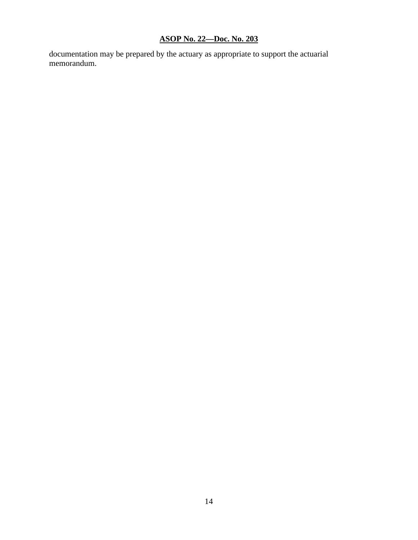documentation may be prepared by the actuary as appropriate to support the actuarial memorandum.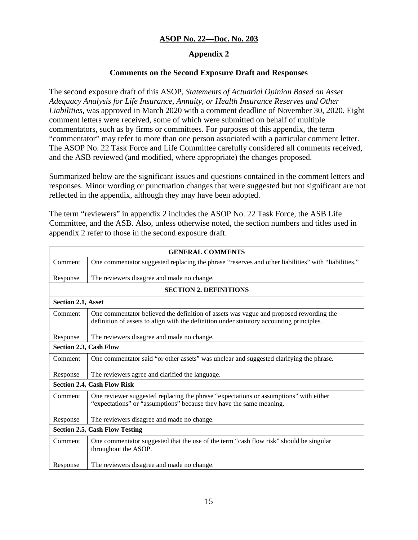# <span id="page-21-0"></span>**Appendix 2**

# **Comments on the Second Exposure Draft and Responses**

The second exposure draft of this ASOP, *Statements of Actuarial Opinion Based on Asset Adequacy Analysis for Life Insurance, Annuity, or Health Insurance Reserves and Other Liabilities*, was approved in March 2020 with a comment deadline of November 30, 2020. Eight comment letters were received, some of which were submitted on behalf of multiple commentators, such as by firms or committees. For purposes of this appendix, the term "commentator" may refer to more than one person associated with a particular comment letter. The ASOP No. 22 Task Force and Life Committee carefully considered all comments received, and the ASB reviewed (and modified, where appropriate) the changes proposed.

Summarized below are the significant issues and questions contained in the comment letters and responses. Minor wording or punctuation changes that were suggested but not significant are not reflected in the appendix, although they may have been adopted.

The term "reviewers" in appendix 2 includes the ASOP No. 22 Task Force, the ASB Life Committee, and the ASB. Also, unless otherwise noted, the section numbers and titles used in appendix 2 refer to those in the second exposure draft.

| <b>GENERAL COMMENTS</b>               |                                                                                                                                                                                    |  |
|---------------------------------------|------------------------------------------------------------------------------------------------------------------------------------------------------------------------------------|--|
| Comment                               | One commentator suggested replacing the phrase "reserves and other liabilities" with "liabilities."                                                                                |  |
| Response                              | The reviewers disagree and made no change.                                                                                                                                         |  |
| <b>SECTION 2. DEFINITIONS</b>         |                                                                                                                                                                                    |  |
| <b>Section 2.1, Asset</b>             |                                                                                                                                                                                    |  |
| Comment                               | One commentator believed the definition of assets was vague and proposed rewording the<br>definition of assets to align with the definition under statutory accounting principles. |  |
| Response                              | The reviewers disagree and made no change.                                                                                                                                         |  |
| <b>Section 2.3, Cash Flow</b>         |                                                                                                                                                                                    |  |
| Comment                               | One commentator said "or other assets" was unclear and suggested clarifying the phrase.                                                                                            |  |
| Response                              | The reviewers agree and clarified the language.                                                                                                                                    |  |
| <b>Section 2.4, Cash Flow Risk</b>    |                                                                                                                                                                                    |  |
| Comment                               | One reviewer suggested replacing the phrase "expectations or assumptions" with either<br>"expectations" or "assumptions" because they have the same meaning.                       |  |
| Response                              | The reviewers disagree and made no change.                                                                                                                                         |  |
| <b>Section 2.5, Cash Flow Testing</b> |                                                                                                                                                                                    |  |
| Comment                               | One commentator suggested that the use of the term "cash flow risk" should be singular<br>throughout the ASOP.                                                                     |  |
| Response                              | The reviewers disagree and made no change.                                                                                                                                         |  |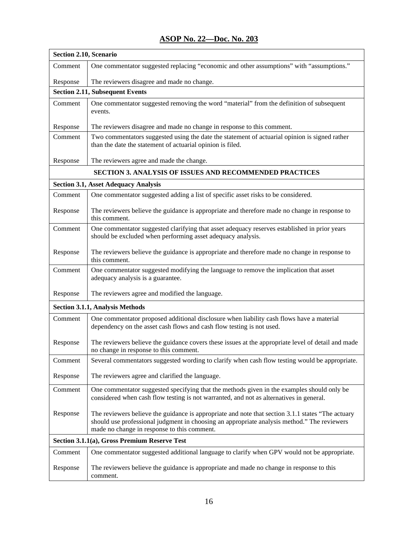| Section 2.10, Scenario |                                                                                                                                                                                                                                                 |  |
|------------------------|-------------------------------------------------------------------------------------------------------------------------------------------------------------------------------------------------------------------------------------------------|--|
| Comment                | One commentator suggested replacing "economic and other assumptions" with "assumptions."                                                                                                                                                        |  |
| Response               | The reviewers disagree and made no change.                                                                                                                                                                                                      |  |
|                        | <b>Section 2.11, Subsequent Events</b>                                                                                                                                                                                                          |  |
| Comment                | One commentator suggested removing the word "material" from the definition of subsequent<br>events.                                                                                                                                             |  |
| Response               | The reviewers disagree and made no change in response to this comment.                                                                                                                                                                          |  |
| Comment                | Two commentators suggested using the date the statement of actuarial opinion is signed rather<br>than the date the statement of actuarial opinion is filed.                                                                                     |  |
| Response               | The reviewers agree and made the change.                                                                                                                                                                                                        |  |
|                        | <b>SECTION 3. ANALYSIS OF ISSUES AND RECOMMENDED PRACTICES</b>                                                                                                                                                                                  |  |
|                        | <b>Section 3.1, Asset Adequacy Analysis</b>                                                                                                                                                                                                     |  |
| Comment                | One commentator suggested adding a list of specific asset risks to be considered.                                                                                                                                                               |  |
| Response               | The reviewers believe the guidance is appropriate and therefore made no change in response to<br>this comment.                                                                                                                                  |  |
| Comment                | One commentator suggested clarifying that asset adequacy reserves established in prior years<br>should be excluded when performing asset adequacy analysis.                                                                                     |  |
| Response               | The reviewers believe the guidance is appropriate and therefore made no change in response to<br>this comment.                                                                                                                                  |  |
| Comment                | One commentator suggested modifying the language to remove the implication that asset<br>adequacy analysis is a guarantee.                                                                                                                      |  |
| Response               | The reviewers agree and modified the language.                                                                                                                                                                                                  |  |
|                        | <b>Section 3.1.1, Analysis Methods</b>                                                                                                                                                                                                          |  |
| Comment                | One commentator proposed additional disclosure when liability cash flows have a material<br>dependency on the asset cash flows and cash flow testing is not used.                                                                               |  |
| Response               | The reviewers believe the guidance covers these issues at the appropriate level of detail and made<br>no change in response to this comment.                                                                                                    |  |
| Comment                | Several commentators suggested wording to clarify when cash flow testing would be appropriate.                                                                                                                                                  |  |
| Response               | The reviewers agree and clarified the language.                                                                                                                                                                                                 |  |
| Comment                | One commentator suggested specifying that the methods given in the examples should only be<br>considered when cash flow testing is not warranted, and not as alternatives in general.                                                           |  |
| Response               | The reviewers believe the guidance is appropriate and note that section 3.1.1 states "The actuary<br>should use professional judgment in choosing an appropriate analysis method." The reviewers<br>made no change in response to this comment. |  |
|                        | Section 3.1.1(a), Gross Premium Reserve Test                                                                                                                                                                                                    |  |
| Comment                | One commentator suggested additional language to clarify when GPV would not be appropriate.                                                                                                                                                     |  |
| Response               | The reviewers believe the guidance is appropriate and made no change in response to this<br>comment.                                                                                                                                            |  |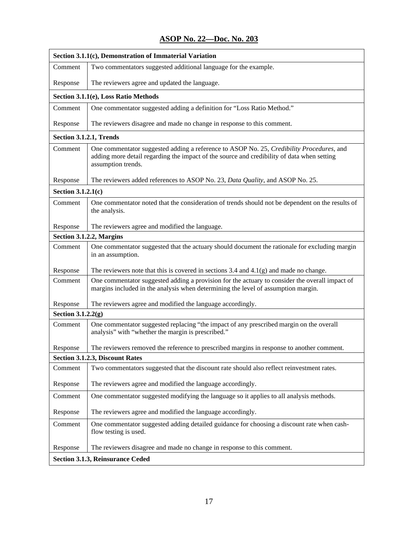| Section 3.1.1(c), Demonstration of Immaterial Variation |                                                                                                                                                                                                              |
|---------------------------------------------------------|--------------------------------------------------------------------------------------------------------------------------------------------------------------------------------------------------------------|
| Comment                                                 | Two commentators suggested additional language for the example.                                                                                                                                              |
| Response                                                | The reviewers agree and updated the language.                                                                                                                                                                |
|                                                         | Section 3.1.1(e), Loss Ratio Methods                                                                                                                                                                         |
| Comment                                                 | One commentator suggested adding a definition for "Loss Ratio Method."                                                                                                                                       |
| Response                                                | The reviewers disagree and made no change in response to this comment.                                                                                                                                       |
| Section 3.1.2.1, Trends                                 |                                                                                                                                                                                                              |
| Comment                                                 | One commentator suggested adding a reference to ASOP No. 25, Credibility Procedures, and<br>adding more detail regarding the impact of the source and credibility of data when setting<br>assumption trends. |
| Response                                                | The reviewers added references to ASOP No. 23, Data Quality, and ASOP No. 25.                                                                                                                                |
| Section 3.1.2.1(c)                                      |                                                                                                                                                                                                              |
| Comment                                                 | One commentator noted that the consideration of trends should not be dependent on the results of<br>the analysis.                                                                                            |
| Response                                                | The reviewers agree and modified the language.                                                                                                                                                               |
|                                                         | Section 3.1.2.2, Margins                                                                                                                                                                                     |
| Comment                                                 | One commentator suggested that the actuary should document the rationale for excluding margin<br>in an assumption.                                                                                           |
| Response                                                | The reviewers note that this is covered in sections $3.4$ and $4.1(g)$ and made no change.                                                                                                                   |
| Comment                                                 | One commentator suggested adding a provision for the actuary to consider the overall impact of<br>margins included in the analysis when determining the level of assumption margin.                          |
| Response                                                | The reviewers agree and modified the language accordingly.                                                                                                                                                   |
| Section $3.1.2.2(g)$                                    |                                                                                                                                                                                                              |
| Comment                                                 | One commentator suggested replacing "the impact of any prescribed margin on the overall<br>analysis" with "whether the margin is prescribed."                                                                |
| Response                                                | The reviewers removed the reference to prescribed margins in response to another comment.                                                                                                                    |
| <b>Section 3.1.2.3, Discount Rates</b>                  |                                                                                                                                                                                                              |
| Comment                                                 | Two commentators suggested that the discount rate should also reflect reinvestment rates.                                                                                                                    |
| Response                                                | The reviewers agree and modified the language accordingly.                                                                                                                                                   |
| Comment                                                 | One commentator suggested modifying the language so it applies to all analysis methods.                                                                                                                      |
| Response                                                | The reviewers agree and modified the language accordingly.                                                                                                                                                   |
| Comment                                                 | One commentator suggested adding detailed guidance for choosing a discount rate when cash-<br>flow testing is used.                                                                                          |
| Response                                                | The reviewers disagree and made no change in response to this comment.                                                                                                                                       |
| Section 3.1.3, Reinsurance Ceded                        |                                                                                                                                                                                                              |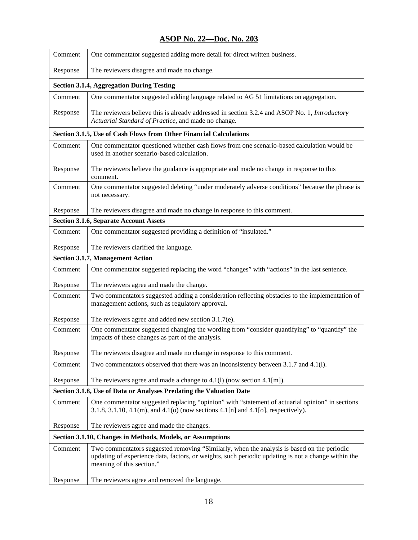| Comment                                                    | One commentator suggested adding more detail for direct written business.                                                                                                                                                      |
|------------------------------------------------------------|--------------------------------------------------------------------------------------------------------------------------------------------------------------------------------------------------------------------------------|
| Response                                                   | The reviewers disagree and made no change.                                                                                                                                                                                     |
|                                                            | <b>Section 3.1.4, Aggregation During Testing</b>                                                                                                                                                                               |
| Comment                                                    | One commentator suggested adding language related to AG 51 limitations on aggregation.                                                                                                                                         |
| Response                                                   | The reviewers believe this is already addressed in section 3.2.4 and ASOP No. 1, Introductory<br>Actuarial Standard of Practice, and made no change.                                                                           |
|                                                            | Section 3.1.5, Use of Cash Flows from Other Financial Calculations                                                                                                                                                             |
| Comment                                                    | One commentator questioned whether cash flows from one scenario-based calculation would be<br>used in another scenario-based calculation.                                                                                      |
| Response                                                   | The reviewers believe the guidance is appropriate and made no change in response to this<br>comment.                                                                                                                           |
| Comment                                                    | One commentator suggested deleting "under moderately adverse conditions" because the phrase is<br>not necessary.                                                                                                               |
| Response                                                   | The reviewers disagree and made no change in response to this comment.                                                                                                                                                         |
| <b>Section 3.1.6, Separate Account Assets</b>              |                                                                                                                                                                                                                                |
| Comment                                                    | One commentator suggested providing a definition of "insulated."                                                                                                                                                               |
| Response                                                   | The reviewers clarified the language.                                                                                                                                                                                          |
|                                                            | <b>Section 3.1.7, Management Action</b>                                                                                                                                                                                        |
| Comment                                                    | One commentator suggested replacing the word "changes" with "actions" in the last sentence.                                                                                                                                    |
| Response                                                   | The reviewers agree and made the change.                                                                                                                                                                                       |
| Comment                                                    | Two commentators suggested adding a consideration reflecting obstacles to the implementation of<br>management actions, such as regulatory approval.                                                                            |
| Response                                                   | The reviewers agree and added new section $3.1.7(e)$ .                                                                                                                                                                         |
| Comment                                                    | One commentator suggested changing the wording from "consider quantifying" to "quantify" the<br>impacts of these changes as part of the analysis.                                                                              |
| Response                                                   | The reviewers disagree and made no change in response to this comment.                                                                                                                                                         |
| Comment                                                    | Two commentators observed that there was an inconsistency between 3.1.7 and 4.1(1).                                                                                                                                            |
| Response                                                   | The reviewers agree and made a change to $4.1(1)$ (now section $4.1[m]$ ).                                                                                                                                                     |
|                                                            | Section 3.1.8, Use of Data or Analyses Predating the Valuation Date                                                                                                                                                            |
| Comment                                                    | One commentator suggested replacing "opinion" with "statement of actuarial opinion" in sections<br>3.1.8, 3.1.10, 4.1(m), and 4.1(o) (now sections 4.1[n] and 4.1[o], respectively).                                           |
| Response                                                   | The reviewers agree and made the changes.                                                                                                                                                                                      |
| Section 3.1.10, Changes in Methods, Models, or Assumptions |                                                                                                                                                                                                                                |
| Comment                                                    | Two commentators suggested removing "Similarly, when the analysis is based on the periodic<br>updating of experience data, factors, or weights, such periodic updating is not a change within the<br>meaning of this section." |
| Response                                                   | The reviewers agree and removed the language.                                                                                                                                                                                  |